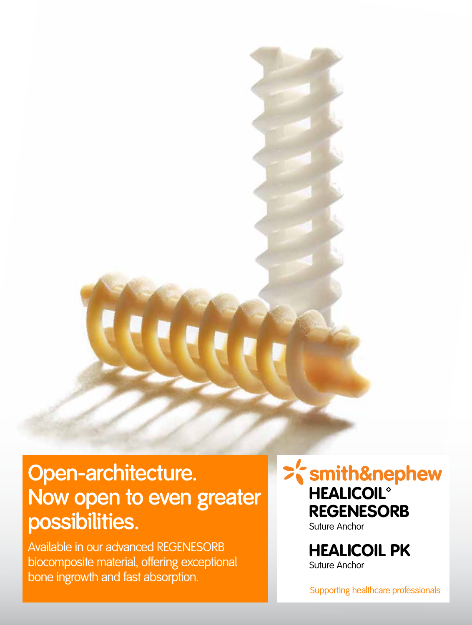# **Open-architecture. Now open to even greater possibilities.**

Available in our advanced REGENESORB biocomposite material, offering exceptional bone ingrowth and fast absorption.

>'s mith&nephew **HEALICOIL® REGENESORB** Suture Anchor

> HEALICOIL PK Suture Anchor

Supporting healthcare professionals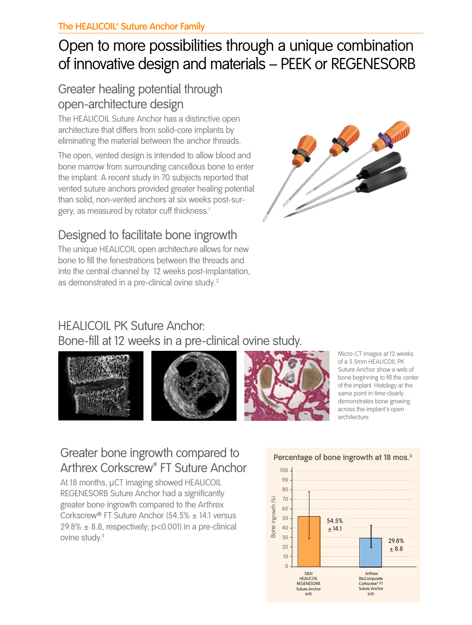# Open to more possibilities through a unique combination of innovative design and materials – PEEK or REGENESORB

## Greater healing potential through open-architecture design

The HEALICOIL Suture Anchor has a distinctive open architecture that differs from solid-core implants by eliminating the material between the anchor threads.

The open, vented design is intended to allow blood and bone marrow from surrounding cancellous bone to enter the implant. A recent study in 70 subjects reported that vented suture anchors provided greater healing potential than solid, non-vented anchors at six weeks post-surgery, as measured by rotator cuff thickness.<sup>1</sup>

# Designed to facilitate bone ingrowth

The unique HEALICOIL open architecture allows for new bone to fill the fenestrations between the threads and into the central channel by 12 weeks post-implantation, as demonstrated in a pre-clinical ovine study.<sup>2</sup>



# HEALICOIL PK Suture Anchor:

Bone-fill at 12 weeks in a pre-clinical ovine study.







Micro-CT images at 12 weeks of a 5.5mm HEALICOIL PK Suture Anchor show a web of bone beginning to fill the center of the implant. Histology at the same point in time clearly demonstrates bone growing across the implant's open architecture.

## Greater bone ingrowth compared to Arthrex Corkscrew® FT Suture Anchor

At 18 months, μCT imaging showed HEALICOIL REGENESORB Suture Anchor had a significantly greater bone ingrowth compared to the Arthrex Corkscrew® FT Suture Anchor (54.5% ± 14.1 versus  $29.8\% \pm 8.8$ , respectively; p<0.001) in a pre-clinical ovine study.<sup>3</sup>



#### **Percentage of bone ingrowth at 18 mos.3**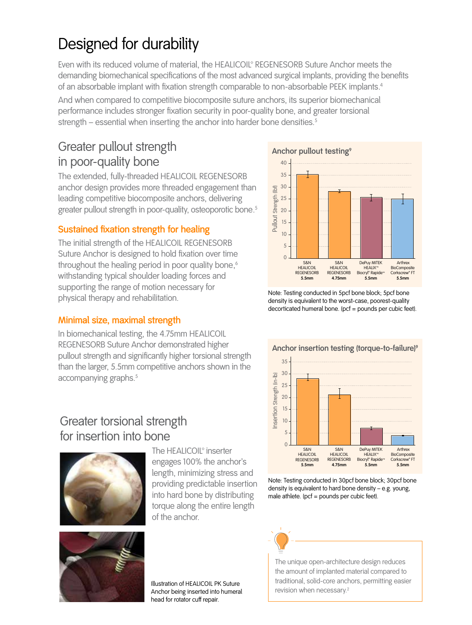# Designed for durability

Even with its reduced volume of material, the HEALICOIL® REGENESORB Suture Anchor meets the demanding biomechanical specifications of the most advanced surgical implants, providing the benefits of an absorbable implant with fixation strength comparable to non-absorbable PEEK implants.<sup>4</sup>

And when compared to competitive biocomposite suture anchors, its superior biomechanical performance includes stronger fixation security in poor-quality bone, and greater torsional strength – essential when inserting the anchor into harder bone densities.<sup>5</sup>

### Greater pullout strength in poor-quality bone

The extended, fully-threaded HEALICOIL REGENESORB anchor design provides more threaded engagement than leading competitive biocomposite anchors, delivering greater pullout strength in poor-quality, osteoporotic bone.<sup>5</sup>

#### **Sustained fixation strength for healing**

The initial strength of the HEALICOIL REGENESORB Suture Anchor is designed to hold fixation over time throughout the healing period in poor quality bone,<sup>6</sup> withstanding typical shoulder loading forces and supporting the range of motion necessary for physical therapy and rehabilitation.

#### **Minimal size, maximal strength**

In biomechanical testing, the 4.75mm HEALICOIL REGENESORB Suture Anchor demonstrated higher pullout strength and significantly higher torsional strength than the larger, 5.5mm competitive anchors shown in the accompanying graphs.<sup>5</sup>

#### Greater torsional strength for insertion into bone



The HEALICOIL<sup>®</sup> inserter engages 100% the anchor's length, minimizing stress and providing predictable insertion into hard bone by distributing torque along the entire length of the anchor.



Illustration of HEALICOIL PK Suture Anchor being inserted into humeral head for rotator cuff repair.



Note: Testing conducted in 5pcf bone block; 5pcf bone density is equivalent to the worst-case, poorest-quality decorticated humeral bone. (pcf = pounds per cubic feet).



**Anchor insertion testing (torque-to-failure)9**

Note: Testing conducted in 30pcf bone block; 30pcf bone density is equivalent to hard bone density – e.g. young, male athlete. (pcf = pounds per cubic feet).

**5.5mm**

**5.5mm**



The unique open-architecture design reduces the amount of implanted material compared to traditional, solid-core anchors, permitting easier revision when necessary.2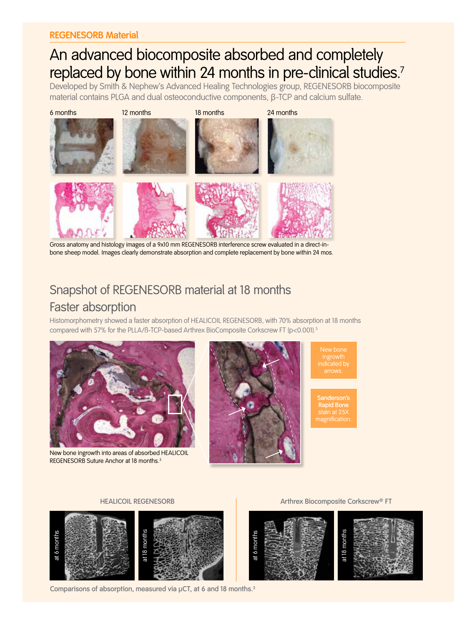# An advanced biocomposite absorbed and completely replaced by bone within 24 months in pre-clinical studies.<sup>7</sup>

Developed by Smith & Nephew's Advanced Healing Technologies group, REGENESORB biocomposite material contains PLGA and dual osteoconductive components, β-TCP and calcium sulfate.



Gross anatomy and histology images of a 9x10 mm REGENESORB interference screw evaluated in a direct-inbone sheep model. Images clearly demonstrate absorption and complete replacement by bone within 24 mos.

## Snapshot of REGENESORB material at 18 months Faster absorption

Histomorphometry showed a faster absorption of HEALICOIL REGENESORB, with 70% absorption at 18 months compared with 57% for the PLLA/ß-TCP-based Arthrex BioComposite Corkscrew FT (p<0.001).<sup>3</sup>



New bone ingrowth into areas of absorbed HEALICOIL REGENESORB Suture Anchor at 18 months.<sup>3</sup>



New bone ingrowth indicated by

**Sanderson's Rapid Bone**



**Comparisons of absorption, measured via μCT, at 6 and 18 months.<sup>3</sup>**

**HEALICOIL REGENESORB Arthrex Biocomposite Corkscrew® FT**

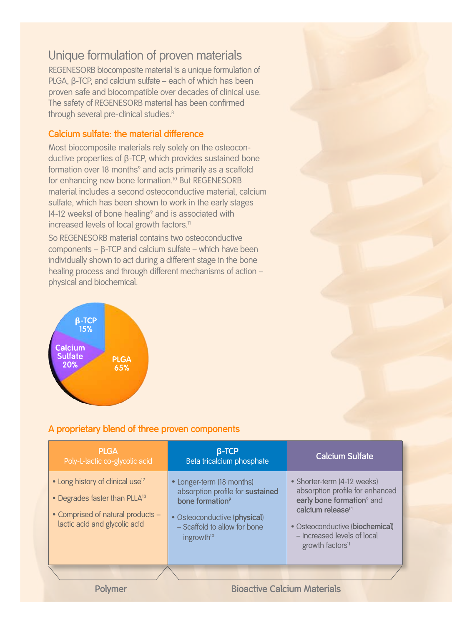## Unique formulation of proven materials

REGENESORB biocomposite material is a unique formulation of PLGA, β-TCP, and calcium sulfate – each of which has been proven safe and biocompatible over decades of clinical use. The safety of REGENESORB material has been confirmed through several pre-clinical studies.<sup>8</sup>

#### **Calcium sulfate: the material difference**

Most biocomposite materials rely solely on the osteoconductive properties of β-TCP, which provides sustained bone formation over 18 months° and acts primarily as a scaffold for enhancing new bone formation.<sup>10</sup> But REGENESORB material includes a second osteoconductive material, calcium sulfate, which has been shown to work in the early stages  $(4-12$  weeks) of bone healing<sup>9</sup> and is associated with increased levels of local growth factors.<sup>11</sup>

So REGENESORB material contains two osteoconductive components – β-TCP and calcium sulfate – which have been individually shown to act during a different stage in the bone healing process and through different mechanisms of action – physical and biochemical.



#### **A proprietary blend of three proven components**

| <b>PLGA</b><br>Poly-L-lactic co-glycolic acid                                                                                                                   | $\beta$ -TCP<br>Beta tricalcium phosphate                                                                                                                                              | <b>Calcium Sulfate</b>                                                                                                                                                                                                                     |
|-----------------------------------------------------------------------------------------------------------------------------------------------------------------|----------------------------------------------------------------------------------------------------------------------------------------------------------------------------------------|--------------------------------------------------------------------------------------------------------------------------------------------------------------------------------------------------------------------------------------------|
| • Long history of clinical use <sup>12</sup><br>• Degrades faster than PLLA <sup>13</sup><br>• Comprised of natural products -<br>lactic acid and glycolic acid | • Longer-term (18 months)<br>absorption profile for sustained<br>bone formation <sup>9</sup><br>· Osteoconductive (physical)<br>- Scaffold to allow for bone<br>ingrowth <sup>10</sup> | • Shorter-term (4-12 weeks)<br>absorption profile for enhanced<br>early bone formation <sup>9</sup> and<br>calcium release <sup>14</sup><br>· Osteoconductive (biochemical)<br>- Increased levels of local<br>growth factors <sup>11</sup> |
|                                                                                                                                                                 |                                                                                                                                                                                        |                                                                                                                                                                                                                                            |
|                                                                                                                                                                 | <b>Bioactive Calcium Materials</b>                                                                                                                                                     |                                                                                                                                                                                                                                            |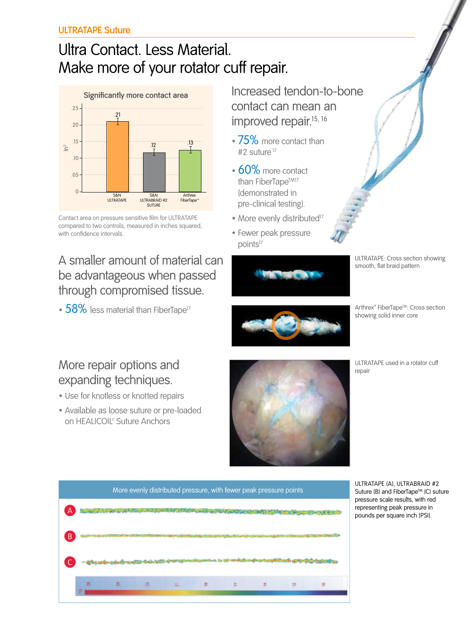# Ultra Contact. Less Material. Make more of your rotator cuff repair.



Contact area on pressure sensitive film for ULTRATAPE compared to two controls, measured in inches squared, with confidence intervals.

## A smaller amount of material can be advantageous when passed through compromised tissue.

• 58% less material than FiberTape<sup>17</sup>

Increased tendon-to-bone contact can mean an improved repair.<sup>15, 16</sup>

- 75% more contact than #2 suture<sup>17</sup>
- 60% more contact than FiberTape<sup>TM17</sup> (demonstrated in pre-clinical testing).
- More evenly distributed<sup>17</sup>
- Fewer peak pressure points<sup>17</sup>



ULTRATAPE: Cross section showing smooth, flat braid pattern



Arthrex® FiberTape™: Cross section showing solid inner core

## More repair options and expanding techniques.

- Use for knotless or knotted repairs
- Available as loose suture or pre-loaded on HEALICOIL<sup>®</sup> Suture Anchors







ULTRATAPE (A), ULTRABRAID #2 Suture (B) and FiberTape™ (C) suture pressure scale results, with red representing peak pressure in pounds per square inch (PSI).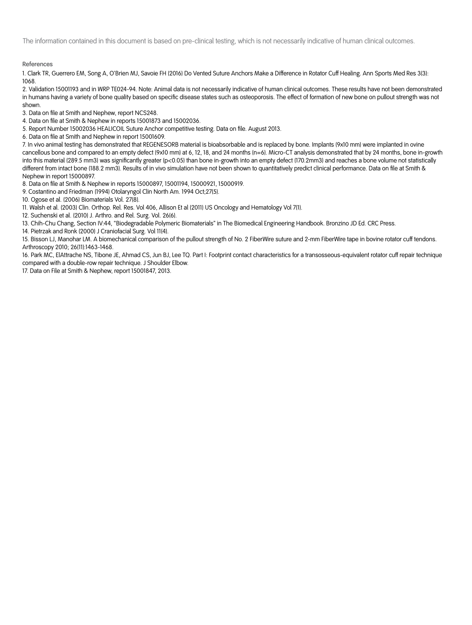The information contained in this document is based on pre-clinical testing, which is not necessarily indicative of human clinical outcomes.

**References**

1. Clark TR, Guerrero EM, Song A, O'Brien MJ, Savoie FH (2016) Do Vented Suture Anchors Make a Difference in Rotator Cuff Healing. Ann Sports Med Res 3(3): 1068.

2. Validation 15001193 and in WRP TE024-94. Note: Animal data is not necessarily indicative of human clinical outcomes. These results have not been demonstrated in humans having a variety of bone quality based on specific disease states such as osteoporosis. The effect of formation of new bone on pullout strength was not shown.

3. Data on file at Smith and Nephew, report NCS248.

4. Data on file at Smith & Nephew in reports 15001873 and 15002036.

5. Report Number 15002036 HEALICOIL Suture Anchor competitive testing. Data on file. August 2013.

6. Data on file at Smith and Nephew in report 15001609.

7. In vivo animal testing has demonstrated that REGENESORB material is bioabsorbable and is replaced by bone. Implants (9x10 mm) were implanted in ovine cancellous bone and compared to an empty defect (9x10 mm) at 6, 12, 18, and 24 months (n=6). Micro-CT analysis demonstrated that by 24 months, bone in-growth into this material (289.5 mm3) was significantly greater (p<0.05) than bone in-growth into an empty defect (170.2mm3) and reaches a bone volume not statistically different from intact bone (188.2 mm3). Results of in vivo simulation have not been shown to quantitatively predict clinical performance. Data on file at Smith & Nephew in report 15000897.

8. Data on file at Smith & Nephew in reports 15000897, 15001194, 15000921, 15000919.

9. Costantino and Friedman (1994) Otolaryngol Clin North Am. 1994 Oct;27(5).

10. Ogose et al. (2006) Biomaterials Vol. 27(8).

11. Walsh et al. (2003) Clin. Orthop. Rel. Res. Vol 406, Allison Et al (2011) US Oncology and Hematology Vol 7(1).

12. Suchenski et al. (2010) J. Arthro. and Rel. Surg. Vol. 26(6).

13. Chih-Chu Chang, Section IV:44, "Biodegradable Polymeric Biomaterials" in The Biomedical Engineering Handbook. Bronzino JD Ed. CRC Press.

14. Pietrzak and Ronk (2000) J Craniofacial Surg. Vol 11(4).

15. Bisson LJ, Manohar LM. A biomechanical comparison of the pullout strength of No. 2 FiberWire suture and 2-mm FiberWire tape in bovine rotator cuff tendons. Arthroscopy 2010; 26(11):1463-1468.

16. Park MC, ElAttrache NS, Tibone JE, Ahmad CS, Jun BJ, Lee TQ. Part I: Footprint contact characteristics for a transosseous-equivalent rotator cuff repair technique compared with a double-row repair technique. J Shoulder Elbow.

17. Data on File at Smith & Nephew, report 15001847, 2013.